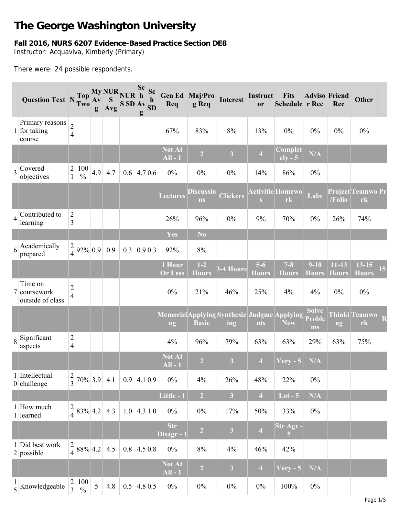# **The George Washington University**

## **Fall 2016, NURS 6207 Evidence-Based Practice Section DE8** Instructor: Acquaviva, Kimberly (Primary)

There were: 24 possible respondents.

|                | Question Text N Two                         |                                        |                                           | $A\mathbf{v}$<br>g | S<br>Avg | My NUR NUR h<br>SSDAV <sub>SD</sub> | Sc<br>g    | Sc<br>$\mathbf h$ | Req                                              | Gen Ed Maj/Pro<br>g Req       | <b>Interest</b>         | Instruct<br>or          | <b>Fits</b><br>Schedule r Rec | <b>Adviso Friend</b>                | Rec                       | <b>Other</b>                    |  |
|----------------|---------------------------------------------|----------------------------------------|-------------------------------------------|--------------------|----------|-------------------------------------|------------|-------------------|--------------------------------------------------|-------------------------------|-------------------------|-------------------------|-------------------------------|-------------------------------------|---------------------------|---------------------------------|--|
|                | Primary reasons<br>1 for taking<br>course   | $\overline{2}$<br>$\overline{4}$       |                                           |                    |          |                                     |            |                   | 67%                                              | 83%                           | 8%                      | 13%                     | $0\%$                         | 0%                                  | $0\%$                     | $0\%$                           |  |
|                |                                             |                                        |                                           |                    |          |                                     |            |                   | <b>Not At</b><br>$All - 1$                       | $\overline{2}$                | $\overline{\mathbf{3}}$ | $\overline{4}$          | Complet<br>$ely - 5$          | N/A                                 |                           |                                 |  |
|                | $\frac{1}{3}$ Covered<br>objectives         | $\begin{array}{c} 2 \\ 1 \end{array}$  | 100<br>$\frac{0}{0}$                      | 4.9                | 4.7      | $0.6$ 4.7 0.6                       |            |                   | $0\%$                                            | $0\%$                         | $0\%$                   | 14%                     | 86%                           | $0\%$                               |                           |                                 |  |
|                |                                             |                                        |                                           |                    |          |                                     |            |                   | <b>Lectures</b>                                  | <b>Discussio</b><br><b>ns</b> | <b>Clickers</b>         | S                       | <b>Activitie Homewo</b><br>rk | Labs                                | /Folio                    | Project Teamwo Pr<br>rk         |  |
| $\overline{4}$ | Contributed to<br>learning                  | $\overline{2}$<br>$\overline{3}$       |                                           |                    |          |                                     |            |                   | 26%                                              | 96%                           | $0\%$                   | 9%                      | 70%                           | $0\%$                               | 26%                       | 74%                             |  |
|                |                                             |                                        |                                           |                    |          |                                     |            |                   | Yes                                              | N <sub>0</sub>                |                         |                         |                               |                                     |                           |                                 |  |
| 6              | Academically<br>prepared                    | $\frac{2}{4}$                          | $92\%$ 0.9                                |                    | 0.9      | 0.3                                 | 0.90.3     |                   | 92%                                              | 8%                            |                         |                         |                               |                                     |                           |                                 |  |
|                |                                             |                                        |                                           |                    |          |                                     |            |                   | 1 Hour<br><b>Or Less</b>                         | $1-2$<br><b>Hours</b>         | 3-4 Hours               | $5-6$<br><b>Hours</b>   | $7 - 8$<br><b>Hours</b>       | $9 - 10$<br><b>Hours</b>            | $11 - 13$<br><b>Hours</b> | $13 - 15$<br><b>Hours</b>       |  |
|                | Time on<br>7 coursework<br>outside of class | $\overline{2}$<br>$\overline{4}$       |                                           |                    |          |                                     |            |                   | $0\%$                                            | 21%                           | 46%                     | 25%                     | 4%                            | 4%                                  | $0\%$                     | $0\%$                           |  |
|                |                                             |                                        |                                           |                    |          |                                     |            |                   | MemoriziApplying Synthesiz Judgme Applying<br>ng | <b>Basic</b>                  | ing                     | nts                     | <b>New</b>                    | <b>Solve</b><br><b>Proble</b><br>ms | ng                        | Thinki Teamwo<br>r <sub>k</sub> |  |
|                | $\frac{1}{8}$ Significant<br>aspects        | $\sqrt{2}$<br>$\overline{\mathcal{A}}$ |                                           |                    |          |                                     |            |                   | 4%                                               | 96%                           | 79%                     | 63%                     | 63%                           | 29%                                 | 63%                       | 75%                             |  |
|                |                                             |                                        |                                           |                    |          |                                     |            |                   | <b>Not At</b><br>$All - 1$                       | $\overline{2}$                | $\overline{\mathbf{3}}$ | $\overline{4}$          | $Very - 5$                    | $\overline{\textbf{N}}/\textbf{A}$  |                           |                                 |  |
|                | 1 Intellectual<br>$0$ challenge             | $\frac{2}{3}$                          | $70\%$ 3.9 4.1                            |                    |          | $0.9$ 4.1 0.9                       |            |                   | $0\%$                                            | 4%                            | 26%                     | 48%                     | 22%                           | $0\%$                               |                           |                                 |  |
|                |                                             |                                        |                                           |                    |          |                                     |            |                   | Little - 1                                       | $\overline{2}$                | $\overline{\mathbf{3}}$ | $\overline{4}$          | $Lot - 5$                     | N/A                                 |                           |                                 |  |
|                | 1 How much<br>1 learned                     |                                        | $\frac{2}{4}$ 83% 4.2                     |                    | 4.3      | $1.0 \, 4.3 \, 1.0$                 |            |                   | $0\%$                                            | $0\%$                         | 17%                     | 50%                     | 33%                           | $0\%$                               |                           |                                 |  |
|                |                                             |                                        |                                           |                    |          |                                     |            |                   | <b>Str</b><br>Disagr - 1                         | $\overline{2}$                | $\overline{\mathbf{3}}$ | $\overline{\mathbf{4}}$ | Str Agr -<br>$\overline{5}$   |                                     |                           |                                 |  |
|                | 1 Did best work<br>$2$ possible             | $\frac{2}{4}$                          | 88% 4.2                                   |                    | 4.5      | $0.8$ 4.5 0.8                       |            |                   | $0\%$                                            | $8\%$                         | 4%                      | 46%                     | 42%                           |                                     |                           |                                 |  |
|                |                                             |                                        |                                           |                    |          |                                     |            |                   | Not At<br>$All - 1$                              | $\overline{2}$                | $\overline{\mathbf{3}}$ | $\overline{\mathbf{4}}$ | $Very - 5$                    | N/A                                 |                           |                                 |  |
|                | $\frac{1}{5}$ Knowledgeable                 | $\frac{2}{3}$                          | $\begin{array}{c} 100 \\ y_0 \end{array}$ | 5                  | 4.8      | 0.5                                 | $4.8\,0.5$ |                   | $0\%$                                            | $0\%$                         | $0\%$                   | $0\%$                   | 100%                          | $0\%$                               |                           |                                 |  |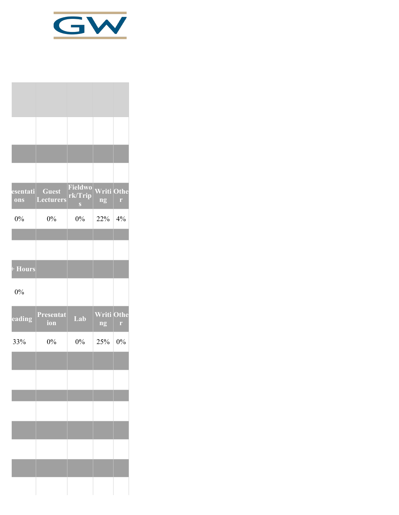

| esenta <u>ti</u><br>ons | <b>Guest</b><br><b>Lecturers</b> | Fieldwo<br>rk/Trip<br>S | <b>Writi Othe</b><br>ng | $\Gamma$ |
|-------------------------|----------------------------------|-------------------------|-------------------------|----------|
| $0\%$                   | $0\%$                            | 0%                      | 22%                     | 4%       |
|                         |                                  |                         |                         |          |
| + Hours                 |                                  |                         |                         |          |
| 0%                      |                                  |                         |                         |          |
| eading                  | Presentat<br>ion                 | Lab                     | <b>Writi Othe</b><br>ng | r        |
| 33%                     | $0\%$                            | 0%                      | 25%                     | 0%       |
|                         |                                  |                         |                         |          |
|                         |                                  |                         |                         |          |
|                         |                                  |                         |                         |          |
|                         |                                  |                         |                         |          |
|                         |                                  |                         |                         |          |
|                         |                                  |                         |                         |          |
|                         |                                  |                         |                         |          |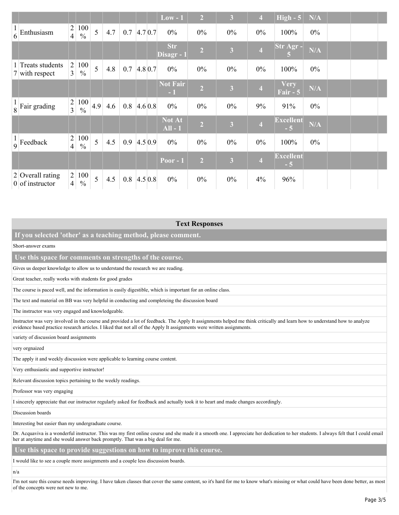|   |                                       |                                        |                      |     |     |     |            | $Low - 1$                | $\overline{2}$ | $\overline{3}$          | $\overline{4}$          | High $-5$                  | N/A   |  |  |
|---|---------------------------------------|----------------------------------------|----------------------|-----|-----|-----|------------|--------------------------|----------------|-------------------------|-------------------------|----------------------------|-------|--|--|
| 6 | Enthusiasm                            | $\overline{2}$<br>4                    | 100<br>$\frac{0}{0}$ | 5   | 4.7 | 0.7 | 4.70.7     | $0\%$                    | $0\%$          | $0\%$                   | $0\%$                   | 100%                       | $0\%$ |  |  |
|   |                                       |                                        |                      |     |     |     |            | <b>Str</b><br>Disagr - 1 | $\overline{2}$ | $\overline{\mathbf{3}}$ | $\overline{\mathbf{4}}$ | Str Agr-<br>$\overline{5}$ | N/A   |  |  |
|   | 1 Treats students<br>7 with respect   | $\overline{2}$<br>3 <sup>1</sup>       | 100<br>$\frac{0}{0}$ | 5   | 4.8 | 0.7 | $4.8\,0.7$ | $0\%$                    | $0\%$          | $0\%$                   | $0\%$                   | 100%                       | $0\%$ |  |  |
|   |                                       |                                        |                      |     |     |     |            | <b>Not Fair</b><br>$-1$  | $\overline{2}$ | $\overline{\mathbf{3}}$ | $\overline{\mathbf{4}}$ | <b>Very</b><br>Fair $-5$   | N/A   |  |  |
|   | $\frac{1}{8}$ Fair grading            | $\begin{vmatrix} 2 \\ 3 \end{vmatrix}$ | 100<br>$\frac{0}{0}$ | 4.9 | 4.6 | 0.8 | 4.60.8     | $0\%$                    | $0\%$          | $0\%$                   | $9\%$                   | 91%                        | $0\%$ |  |  |
|   |                                       |                                        |                      |     |     |     |            | Not At<br>$All - 1$      | $\overline{2}$ | $\overline{\mathbf{3}}$ | $\overline{\mathbf{4}}$ | <b>Excellent</b><br>$-5$   | N/A   |  |  |
|   | $\int_{9}^{1}$ Feedback               | $\overline{2}$<br>$\overline{4}$       | 100<br>$\frac{0}{0}$ | 5   | 4.5 | 0.9 | 4.50.9     | $0\%$                    | $0\%$          | $0\%$                   | $0\%$                   | 100%                       | $0\%$ |  |  |
|   |                                       |                                        |                      |     |     |     |            | Poor - $1$               | $\overline{2}$ | $\overline{3}$          | 4                       | <b>Excellent</b><br>$-5$   |       |  |  |
|   | 2 Overall rating<br>$0$ of instructor | $\overline{2}$<br>$\vert 4 \vert$      | 100<br>$\frac{0}{0}$ | 5   | 4.5 | 0.8 | 4.5 0.8    | $0\%$                    | $0\%$          | $0\%$                   | 4%                      | 96%                        |       |  |  |

### **Text Responses**

 **If you selected 'other' as a teaching method, please comment.**

#### Short-answer exams

 **Use this space for comments on strengths of the course.**

Gives us deeper knowledge to allow us to understand the research we are reading.

Great teacher, really works with students for good grades

The course is paced well, and the information is easily digestible, which is important for an online class.

The text and material on BB was very helpful in conducting and completeing the discussion board

The instructor was very engaged and knowledgeable.

Instructor was very involved in the course and provided a lot of feedback. The Apply It assignments helped me think critically and learn how to understand how to analyze evidence based practice research articles. I liked that not all of the Apply It assignments were written assignments.

variety of discussion board assignments

very orgnaized

The apply it and weekly discussion were applicable to learning course content.

Very enthusiastic and supportive instructor!

Relevant discussion topics pertaining to the weekly readings.

Professor was very engaging

I sincerely appreciate that our instructor regularly asked for feedback and actually took it to heart and made changes accordingly.

Discussion boards

Interesting but easier than my undergraduate course.

Dr. Acquaviva is a wonderful instructor. This was my first online course and she made it a smooth one. I appreciate her dedication to her students. I always felt that I could email her at anytime and she would answer back promptly. That was a big deal for me.

 **Use this space to provide suggestions on how to improve this course.**

I would like to see a couple more assignments and a couple less discussion boards.

n/a

I'm not sure this course needs improving. I have taken classes that cover the same content, so it's hard for me to know what's missing or what could have been done better, as most of the concepts were not new to me.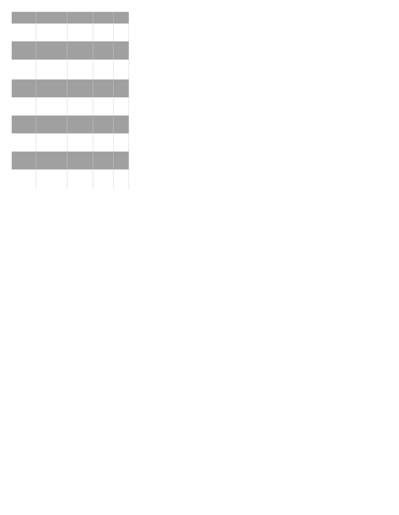